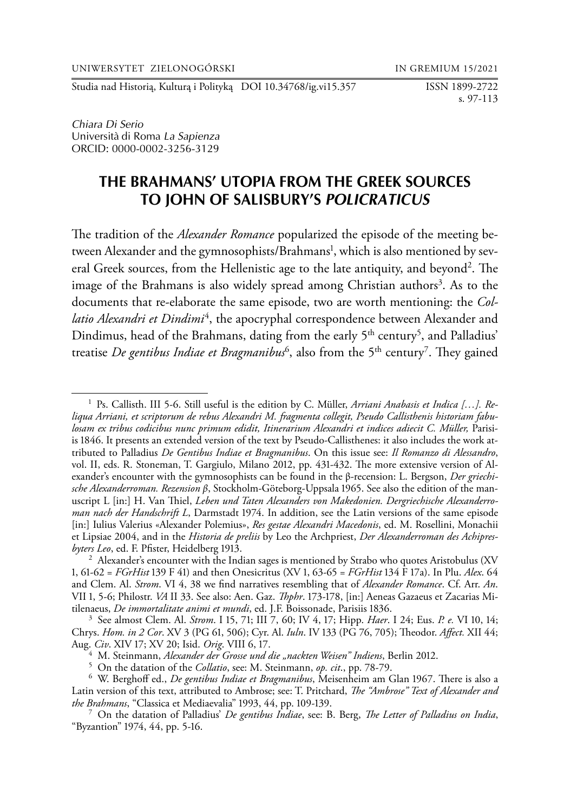Studia nad Historią, Kulturą i Polityką DOI 10.34768/ig.vi15.357 ISSN 1899-2722

s. 97-113

*Chiara Di Serio* Universita` di Roma *La Sapienza* ORCID: 0000-0002-3256-3129

# **THE BRAHMANS' UTOPIA FROM THE GREEK SOURCES TO JOHN OF SALISBURY'S** *POLICRATICUS*

The tradition of the *Alexander Romance* popularized the episode of the meeting between Alexander and the gymnosophists/Brahmans<sup>1</sup>, which is also mentioned by several Greek sources, from the Hellenistic age to the late antiquity, and beyond<sup>2</sup>. The image of the Brahmans is also widely spread among Christian authors<sup>3</sup>. As to the documents that re-elaborate the same episode, two are worth mentioning: the *Col*latio Alexandri et Dindimi<sup>4</sup>, the apocryphal correspondence between Alexander and Dindimus, head of the Brahmans, dating from the early  $5<sup>th</sup>$  century<sup>5</sup>, and Palladius' treatise *De gentibus Indiae et Bragmanibus*<sup>6</sup>, also from the 5<sup>th</sup> century<sup>7</sup>. They gained

<sup>1</sup> Ps. Callisth. III 5-6. Still useful is the edition by C. Müller, *Arriani Anabasis et Indica […]. Reliqua Arriani, et scriptorum de rebus Alexandri M. fragmenta collegit, Pseudo Callisthenis historiam fabulosam ex tribus codicibus nunc primum edidit, Itinerarium Alexandri et indices adiecit C. Müller,* Parisiis 1846. It presents an extended version of the text by Pseudo-Callisthenes: it also includes the work attributed to Palladius *De Gentibus Indiae et Bragmanibus*. On this issue see: *Il Romanzo di Alessandro*, vol. II, eds. R. Stoneman, T. Gargiulo, Milano 2012, pp. 431-432. The more extensive version of Alexander's encounter with the gymnosophists can be found in the β-recension: L. Bergson, *Der griechische Alexanderroman. Rezension β*, Stockholm-Göteborg-Uppsala 1965. See also the edition of the manuscript L [in:] H. Van Thiel, *Leben und Taten Alexanders von Makedonien. Dergriechische Alexanderroman nach der Handschrift L*, Darmstadt 1974. In addition, see the Latin versions of the same episode [in:] Iulius Valerius «Alexander Polemius», *Res gestae Alexandri Macedonis*, ed. M. Rosellini, Monachii et Lipsiae 2004, and in the *Historia de preliis* by Leo the Archpriest, *Der Alexanderroman des Achipresbyters Leo*, ed. F. Pfister, Heidelberg 1913. <sup>2</sup> Alexander's encounter with the Indian sages is mentioned by Strabo who quotes Aristobulus (XV

<sup>1, 61-62 =</sup> *FGrHist* 139 F 41) and then Onesicritus (XV 1, 63-65 = *FGrHist* 134 F 17a). In Plu. *Alex*. 64 and Clem. Al. *Strom*. VI 4, 38 we find narratives resembling that of *Alexander Romance*. Cf. Arr. *An*. VII 1, 5-6; Philostr. *VA* II 33. See also: Aen. Gaz. *Thphr*. 173-178, [in:] Aeneas Gazaeus et Zacarias Mitilenaeus, *De immortalitate animi et mundi*, ed. J.F. Boissonade, Parisiis 1836. 3 See almost Clem. Al. *Strom*. I 15, 71; III 7, 60; IV 4, 17; Hipp. *Haer*. I 24; Eus. *P. e.* VI 10, 14;

Chrys. *Hom. in 2 Cor*. XV 3 (PG 61, 506); Cyr. Al. *Iuln*. IV 133 (PG 76, 705); Theodor. *Affect.* XII 44; Aug. *Civ.* XIV 17; XV 20; Isid. *Orig.* VIII 6, 17.<br><sup>4</sup> M. Steinmann, *Alexander der Grosse und die "nackten Weisen" Indiens*, Berlin 2012.<br><sup>5</sup> On the datation of the *Collatio*, see: M. Steinmann, *op. cit.*, pp. 78-79.<br>

Latin version of this text, attributed to Ambrose; see: T. Pritchard, *The "Ambrose" Text of Alexander and* 

*the Brahmans*, "Classica et Mediaevalia" 1993, 44, pp. 109-139. <sup>7</sup> On the datation of Palladius' *De gentibus Indiae*, see: B. Berg, *The Letter of Palladius on India*, "Byzantion" 1974, 44, pp. 5-16.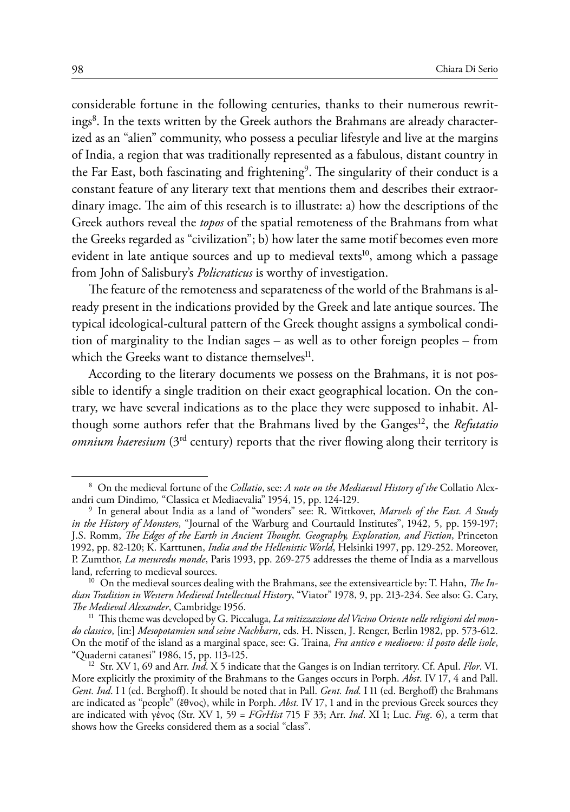considerable fortune in the following centuries, thanks to their numerous rewritings<sup>8</sup>. In the texts written by the Greek authors the Brahmans are already characterized as an "alien" community, who possess a peculiar lifestyle and live at the margins of India, a region that was traditionally represented as a fabulous, distant country in the Far East, both fascinating and frightening<sup>9</sup>. The singularity of their conduct is a constant feature of any literary text that mentions them and describes their extraordinary image. The aim of this research is to illustrate: a) how the descriptions of the Greek authors reveal the *topos* of the spatial remoteness of the Brahmans from what the Greeks regarded as "civilization"; b) how later the same motif becomes even more evident in late antique sources and up to medieval texts<sup>10</sup>, among which a passage from John of Salisbury's *Policraticus* is worthy of investigation.

The feature of the remoteness and separateness of the world of the Brahmans is already present in the indications provided by the Greek and late antique sources. The typical ideological-cultural pattern of the Greek thought assigns a symbolical condition of marginality to the Indian sages – as well as to other foreign peoples – from which the Greeks want to distance themselves<sup>11</sup>.

According to the literary documents we possess on the Brahmans, it is not possible to identify a single tradition on their exact geographical location. On the contrary, we have several indications as to the place they were supposed to inhabit. Although some authors refer that the Brahmans lived by the Ganges<sup>12</sup>, the *Refutatio omnium haeresium* (3<sup>rd</sup> century) reports that the river flowing along their territory is

<sup>8</sup> On the medieval fortune of the *Collatio*, see: *A note on the Mediaeval History of the* Collatio Alex-

andri cum Dindimo*,* "Classica et Mediaevalia" 1954, 15, pp. 124-129. <sup>9</sup> In general about India as a land of "wonders" see: R. Wittkover, *Marvels of the East. A Study in the History of Monsters*, "Journal of the Warburg and Courtauld Institutes", 1942, 5, pp. 159-197; J.S. Romm, *The Edges of the Earth in Ancient Thought. Geography, Exploration, and Fiction*, Princeton 1992, pp. 82-120; K. Karttunen, *India and the Hellenistic World*, Helsinki 1997, pp. 129-252. Moreover, P. Zumthor, *La mesuredu monde*, Paris 1993, pp. 269-275 addresses the theme of India as a marvellous

<sup>&</sup>lt;sup>10</sup> On the medieval sources dealing with the Brahmans, see the extensivearticle by: T. Hahn, *The Indian Tradition in Western Medieval Intellectual History*, "Viator" 1978, 9, pp. 213-234. See also: G. Cary, *The Medieval Alexander*, Cambridge 1956. <sup>11</sup> This theme was developed by G. Piccaluga, *La mitizzazione del Vicino Oriente nelle religioni del mon-*

*do classico*, [in:] *Mesopotamien und seine Nachbarn*, eds. H. Nissen, J. Renger, Berlin 1982, pp. 573-612. On the motif of the island as a marginal space, see: G. Traina, *Fra antico e medioevo: il posto delle isole*, "Quaderni catanesi" 1986, 15, pp. 113-125. <sup>12</sup> Str. XV 1, 69 and Arr. *Ind*. X 5 indicate that the Ganges is on Indian territory. Cf. Apul. *Flor*. VI.

More explicitly the proximity of the Brahmans to the Ganges occurs in Porph. *Abst*. IV 17, 4 and Pall. *Gent. Ind*. I 1 (ed. Berghoff). It should be noted that in Pall. *Gent. Ind.* I 11 (ed. Berghoff) the Brahmans are indicated as "people" (ἔθνος), while in Porph. *Abst.* IV 17, 1 and in the previous Greek sources they are indicated with γένος (Str. XV 1, 59 = *FGrHist* 715 F 33; Arr. *Ind*. XI 1; Luc. *Fug*. 6), a term that shows how the Greeks considered them as a social "class".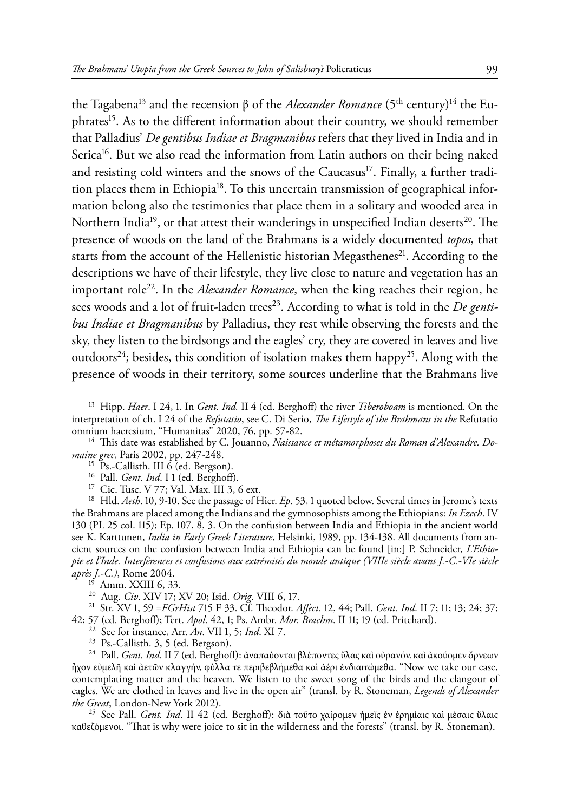the Tagabena<sup>13</sup> and the recension β of the *Alexander Romance* (5<sup>th</sup> century)<sup>14</sup> the Euphrates<sup>15</sup>. As to the different information about their country, we should remember that Palladius' *De gentibus Indiae et Bragmanibus* refers that they lived in India and in Serica<sup>16</sup>. But we also read the information from Latin authors on their being naked and resisting cold winters and the snows of the Caucasus<sup>17</sup>. Finally, a further tradition places them in Ethiopia<sup>18</sup>. To this uncertain transmission of geographical information belong also the testimonies that place them in a solitary and wooded area in Northern India<sup>19</sup>, or that attest their wanderings in unspecified Indian deserts<sup>20</sup>. The presence of woods on the land of the Brahmans is a widely documented *topos*, that starts from the account of the Hellenistic historian Megasthenes<sup>21</sup>. According to the descriptions we have of their lifestyle, they live close to nature and vegetation has an important role<sup>22</sup>. In the *Alexander Romance*, when the king reaches their region, he sees woods and a lot of fruit-laden trees<sup>23</sup>. According to what is told in the *De gentibus Indiae et Bragmanibus* by Palladius, they rest while observing the forests and the sky, they listen to the birdsongs and the eagles' cry, they are covered in leaves and live outdoors<sup>24</sup>; besides, this condition of isolation makes them happy<sup>25</sup>. Along with the presence of woods in their territory, some sources underline that the Brahmans live

<sup>16</sup> Pall. *Gent. Ind*. I 1 (ed. Berghoff).<br><sup>17</sup> Cic. Tusc. V 77; Val. Max. III 3, 6 ext.<br><sup>18</sup> Hld. *Aeth*. 10, 9-10. See the passage of Hier. *Ep*. 53, 1 quoted below. Several times in Jerome's texts the Brahmans are placed among the Indians and the gymnosophists among the Ethiopians: *In Ezech*. IV 130 (PL 25 col. 115); Ep. 107, 8, 3. On the confusion between India and Ethiopia in the ancient world see K. Karttunen, *India in Early Greek Literature*, Helsinki, 1989, pp. 134-138. All documents from ancient sources on the confusion between India and Ethiopia can be found [in:] P. Schneider, *L'Ethiopie et l'Inde. Interférences et confusions aux extrémités du monde antique (VIIIe siècle avant J.-C.-VIe siècle* 

<sup>19</sup> Amm. XXIII 6, 33.<br><sup>20</sup> Aug. *Civ.* XIV 17; XV 20; Isid. *Orig*. VIII 6, 17.<br><sup>21</sup> Str. XV 1, 59 = *FGrHist* 715 F 33. Cf. Theodor. *Affect*. 12, 44; Pall. *Gent. Ind*. II 7; 11; 13; 24; 37;<br>42; 57 (ed. Berghoff); Tert

<sup>22</sup> See for instance, Arr. *An.* VII 1, 5; *Ind.* XI 7.<br><sup>23</sup> Ps.-Callisth. 3, 5 (ed. Bergson).<br><sup>24</sup> Pall. *Gent. Ind*. II 7 (ed. Berghoff): ἀναπαύονται βλέποντες ὕλας καὶ οὐρανόν. καὶ ἀκούομεν ὄρνεων ἦχον εὐμελῆ καὶ ἀετῶν κλαγγήν, φύλλα τε περιβεβλήμεθα καὶ ἀέρι ἐνδιαιτώμεθα. "Now we take our ease, contemplating matter and the heaven. We listen to the sweet song of the birds and the clangour of eagles. We are clothed in leaves and live in the open air" (transl. by R. Stoneman, *Legends of Alexander* 

<sup>25</sup> See Pall. *Gent. Ind*. II 42 (ed. Berghoff): διὰ τοῦτο χαίρομεν ἡμεῖς ἐν ἐρημίαις καὶ μέσαις ὕλαις καθεζόμενοι. "That is why were joice to sit in the wilderness and the forests" (transl. by R. Stoneman).

<sup>13</sup> Hipp. *Haer*. I 24, 1. In *Gent. Ind.* II 4 (ed. Berghoff) the river *Tiberoboam* is mentioned. On the interpretation of ch. I 24 of the *Refutatio*, see C. Di Serio, *The Lifestyle of the Brahmans in the* Refutatio

<sup>&</sup>lt;sup>14</sup> This date was established by C. Jouanno, *Naissance et métamorphoses du Roman d'Alexandre. Do-<br>
<sup>15</sup> Ps.-Callisth. III 6 (ed. Bergson).*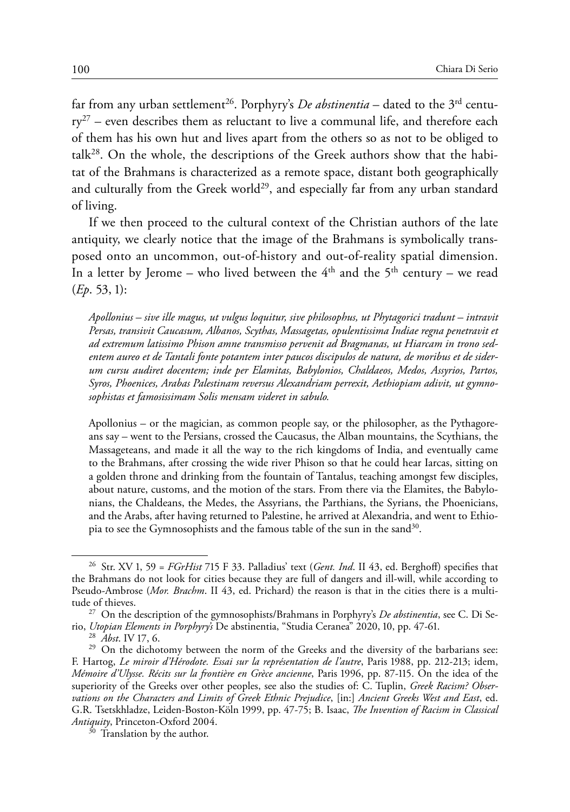far from any urban settlement<sup>26</sup>. Porphyry's *De abstinentia* – dated to the  $3^{rd}$  centu $ry^{27}$  – even describes them as reluctant to live a communal life, and therefore each of them has his own hut and lives apart from the others so as not to be obliged to  $talk<sup>28</sup>$ . On the whole, the descriptions of the Greek authors show that the habitat of the Brahmans is characterized as a remote space, distant both geographically and culturally from the Greek world<sup>29</sup>, and especially far from any urban standard of living.

If we then proceed to the cultural context of the Christian authors of the late antiquity, we clearly notice that the image of the Brahmans is symbolically transposed onto an uncommon, out-of-history and out-of-reality spatial dimension. In a letter by Jerome – who lived between the  $4<sup>th</sup>$  and the  $5<sup>th</sup>$  century – we read (*Ep*. 53, 1):

*Apollonius – sive ille magus, ut vulgus loquitur, sive philosophus, ut Phytagorici tradunt – intravit Persas, transivit Caucasum, Albanos, Scythas, Massagetas, opulentissima Indiae regna penetravit et ad extremum latissimo Phison amne transmisso pervenit ad Bragmanas, ut Hiarcam in trono sedentem aureo et de Tantali fonte potantem inter paucos discipulos de natura, de moribus et de siderum cursu audiret docentem; inde per Elamitas, Babylonios, Chaldaeos, Medos, Assyrios, Partos, Syros, Phoenices, Arabas Palestinam reversus Alexandriam perrexit, Aethiopiam adivit, ut gymnosophistas et famosissimam Solis mensam videret in sabulo.*

Apollonius – or the magician, as common people say, or the philosopher, as the Pythagoreans say – went to the Persians, crossed the Caucasus, the Alban mountains, the Scythians, the Massageteans, and made it all the way to the rich kingdoms of India, and eventually came to the Brahmans, after crossing the wide river Phison so that he could hear Iarcas, sitting on a golden throne and drinking from the fountain of Tantalus, teaching amongst few disciples, about nature, customs, and the motion of the stars. From there via the Elamites, the Babylonians, the Chaldeans, the Medes, the Assyrians, the Parthians, the Syrians, the Phoenicians, and the Arabs, after having returned to Palestine, he arrived at Alexandria, and went to Ethiopia to see the Gymnosophists and the famous table of the sun in the sand<sup>30</sup>.

<sup>26</sup> Str. XV 1, 59 = *FGrHist* 715 F 33. Palladius' text (*Gent. Ind*. II 43, ed. Berghoff) specifies that the Brahmans do not look for cities because they are full of dangers and ill-will, while according to Pseudo-Ambrose (*Mor. Brachm*. II 43, ed. Prichard) the reason is that in the cities there is a multi-

tude of thieves.<br><sup>27</sup> On the description of the gymnosophists/Brahmans in Porphyry's *De abstinentia*, see C. Di Se-<br>10, *Utopian Elements in Porphyry's* De abstinentia, "Studia Ceranea" 2020, 10, pp. 47-61.

<sup>&</sup>lt;sup>28</sup> *Abst.* IV 17, 6. <sup>29</sup> On the dichotomy between the norm of the Greeks and the diversity of the barbarians see: F. Hartog, *Le miroir d'Hérodote. Essai sur la représentation de l'autre*, Paris 1988, pp. 212-213; idem, *Mémoire d'Ulysse. Récits sur la frontière en Grèce ancienne*, Paris 1996, pp. 87-115. On the idea of the superiority of the Greeks over other peoples, see also the studies of: C. Tuplin, *Greek Racism? Observations on the Characters and Limits of Greek Ethnic Prejudice*, [in:] *Ancient Greeks West and East*, ed. G.R. Tsetskhladze, Leiden-Boston-Köln 1999, pp. 47-75; B. Isaac, *The Invention of Racism in Classical Antiquity*, Princeton-Oxford 2004. <sup>30</sup> Translation by the author.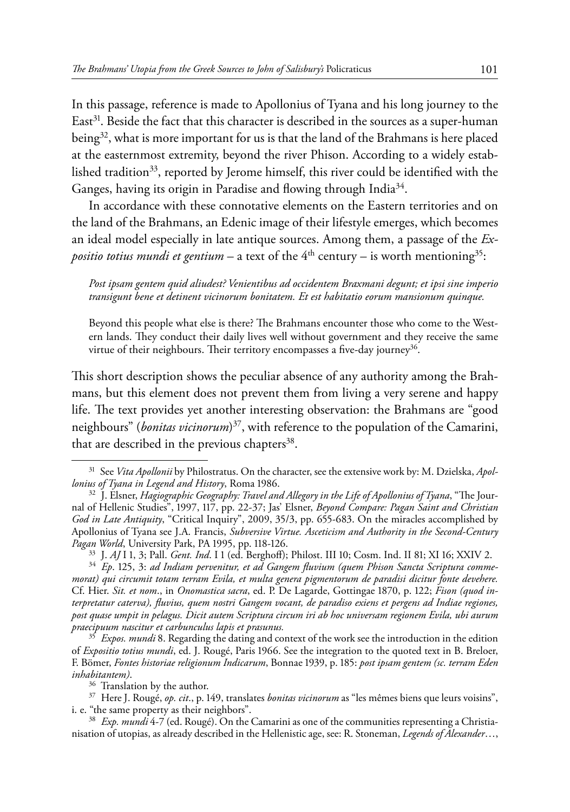In this passage, reference is made to Apollonius of Tyana and his long journey to the  $East<sup>31</sup>$ . Beside the fact that this character is described in the sources as a super-human being<sup>32</sup>, what is more important for us is that the land of the Brahmans is here placed at the easternmost extremity, beyond the river Phison. According to a widely established tradition<sup>33</sup>, reported by Jerome himself, this river could be identified with the Ganges, having its origin in Paradise and flowing through India<sup>34</sup>.

In accordance with these connotative elements on the Eastern territories and on the land of the Brahmans, an Edenic image of their lifestyle emerges, which becomes an ideal model especially in late antique sources. Among them, a passage of the *Expositio totius mundi et gentium – a text of the*  $4<sup>th</sup>$  century – is worth mentioning<sup>35</sup>:

*Post ipsam gentem quid aliudest? Venientibus ad occidentem Braxmani degunt; et ipsi sine imperio transigunt bene et detinent vicinorum bonitatem. Et est habitatio eorum mansionum quinque.*

Beyond this people what else is there? The Brahmans encounter those who come to the Western lands. They conduct their daily lives well without government and they receive the same virtue of their neighbours. Their territory encompasses a five-day journey<sup>36</sup>.

This short description shows the peculiar absence of any authority among the Brahmans, but this element does not prevent them from living a very serene and happy life. The text provides yet another interesting observation: the Brahmans are "good neighbours" (*bonitas vicinorum*) 37, with reference to the population of the Camarini, that are described in the previous chapters $38$ .

<sup>31</sup> See *Vita Apollonii* by Philostratus. On the character, see the extensive work by: M. Dzielska, *Apol-*

*lonius of Tyana in Legend and History*, Roma 1986. <sup>32</sup> J. Elsner, *Hagiographic Geography: Travel and Allegory in the Life of Apollonius of Tyana*, "The Journal of Hellenic Studies", 1997, 117, pp. 22-37; Jas' Elsner, *Beyond Compare: Pagan Saint and Christian God in Late Antiquity*, "Critical Inquiry", 2009, 35/3, pp. 655-683. On the miracles accomplished by Apollonius of Tyana see J.A. Francis, *Subversive Virtue. Asceticism and Authority in the Second-Century*  Pagan World, University Park, PA 1995, pp. 118-126.<br><sup>33</sup> J. AJ I 1, 3; Pall. *Gent. Ind.* I 1 (ed. Berghoff); Philost. III 10; Cosm. Ind. II 81; XI 16; XXIV 2.<br><sup>34</sup> Ep. 125, 3: ad Indiam pervenitur, et ad Gangem fluvium (q

*morat) qui circumit totam terram Evila, et multa genera pigmentorum de paradisi dicitur fonte devehere.*  Cf. Hier. *Sit. et nom*., in *Onomastica sacra*, ed. P. De Lagarde, Gottingae 1870, p. 122; *Fison (quod interpretatur caterva), fluvius, quem nostri Gangem vocant, de paradiso exiens et pergens ad Indiae regiones, post quase umpit in pelagus. Dicit autem Scriptura circum iri ab hoc universam regionem Evila, ubi aurum praecipuum nascitur et carbunculus lapis et prasunus.*

<sup>35</sup> *Expos. mundi* 8. Regarding the dating and context of the work see the introduction in the edition of *Expositio totius mundi*, ed. J. Rougé, Paris 1966. See the integration to the quoted text in B. Breloer, F. Bömer, *Fontes historiae religionum Indicarum*, Bonnae 1939, p. 185: *post ipsam gentem (sc. terram Eden* 

*inhabitantem)*. <sup>36</sup> Translation by the author. 37 Here J. Rougé, *op. cit*., p. 149, translates *bonitas vicinorum* as "les mêmes biens que leurs voisins", i. e. "the same property as their neighbors". <sup>38</sup> *Exp. mundi* 4-7 (ed. Rougé). On the Camarini as one of the communities representing a Christia-

nisation of utopias, as already described in the Hellenistic age, see: R. Stoneman, *Legends of Alexander*…,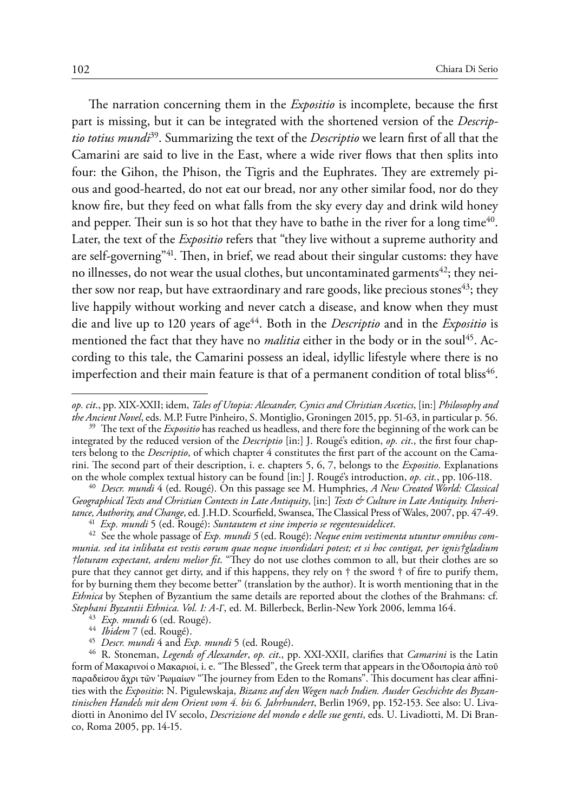The narration concerning them in the *Expositio* is incomplete, because the first part is missing, but it can be integrated with the shortened version of the *Descriptio totius mundi*39. Summarizing the text of the *Descriptio* we learn first of all that the Camarini are said to live in the East, where a wide river flows that then splits into four: the Gihon, the Phison, the Tigris and the Euphrates. They are extremely pious and good-hearted, do not eat our bread, nor any other similar food, nor do they know fire, but they feed on what falls from the sky every day and drink wild honey and pepper. Their sun is so hot that they have to bathe in the river for a long time<sup>40</sup>. Later, the text of the *Expositio* refers that "they live without a supreme authority and are self-governing"<sup>41</sup>. Then, in brief, we read about their singular customs: they have no illnesses, do not wear the usual clothes, but uncontaminated garments<sup>42</sup>; they neither sow nor reap, but have extraordinary and rare goods, like precious stones $43$ ; they live happily without working and never catch a disease, and know when they must die and live up to 120 years of age44. Both in the *Descriptio* and in the *Expositio* is mentioned the fact that they have no *malitia* either in the body or in the soul<sup>45</sup>. According to this tale, the Camarini possess an ideal, idyllic lifestyle where there is no imperfection and their main feature is that of a permanent condition of total bliss<sup>46</sup>.

*op. cit*., pp. XIX-XXII; idem, *Tales of Utopia: Alexander, Cynics and Christian Ascetics*, [in:] *Philosophy and* 

<sup>&</sup>lt;sup>39</sup> The text of the *Expositio* has reached us headless, and there fore the beginning of the work can be integrated by the reduced version of the *Descriptio* [in:] J. Rougé's edition, *op. cit*., the first four chapters belong to the *Descriptio*, of which chapter 4 constitutes the first part of the account on the Camarini. The second part of their description, i. e. chapters 5, 6, 7, belongs to the *Expositio*. Explanations

<sup>&</sup>lt;sup>40</sup> Descr. mundi 4 (ed. Rougé). On this passage see M. Humphries, *A New Created World: Classical Geographical Texts and Christian Contexts in Late Antiquity*, [in:] *Texts & Culture in Late Antiquity. Inheri-*<br> *tance, Authority, and Change,* ed. J.H.D. Scourfield, Swansea, The Classical Press of Wales, 2007, pp. 47-

<sup>&</sup>lt;sup>41</sup> *Exp. mundi* 5 (ed. Rougé): *Suntautem et sine imperio se regentesuidelicet*.<br><sup>42</sup> See the whole passage of *Exp. mundi* 5 (ed. Rougé): *Neque enim vestimenta utuntur omnibus communia. sed ita inlibata est vestis eorum quae neque insordidari potest; et si hoc contigat, per ignis†gladium †loturam expectant, ardens melior fit*. "They do not use clothes common to all, but their clothes are so pure that they cannot get dirty, and if this happens, they rely on † the sword † of fire to purify them, for by burning them they become better" (translation by the author). It is worth mentioning that in the *Ethnica* by Stephen of Byzantium the same details are reported about the clothes of the Brahmans: cf. *Stephani Byzantii Ethnica. Vol. 1: A-Γ*, ed. M. Billerbeck, Berlin-New York 2006, lemma 164.<br><sup>43</sup> *Exp. mundi* 6 (ed. Rougé).<br><sup>44</sup> *Ibidem* 7 (ed. Rougé).<br><sup>45</sup> *Descr. mundi* 4 and *Exp. mundi* 5 (ed. Rougé).

<sup>&</sup>lt;sup>46</sup> R. Stoneman, *Legends of Alexander, op. cit.*, pp. XXI-XXII, clarifies that *Camarini* is the Latin form of Mακαρινοί o Mακαριοί, i. e. "The Blessed", the Greek term that appears in the Ὁδοιπορία ἀπὸ τοῦ παραδείσου ἄχρι τῶν 'Ρωμαίων "The journey from Eden to the Romans". This document has clear affinities with the *Expositio*: N. Pigulewskaja, *Bizanz auf den Wegen nach Indien. Ausder Geschichte des Byzantinischen Handels mit dem Orient vom 4. bis 6. Jahrhundert*, Berlin 1969, pp. 152-153. See also: U. Livadiotti in Anonimo del IV secolo, *Descrizione del mondo e delle sue genti*, eds. U. Livadiotti, M. Di Branco, Roma 2005, pp. 14-15.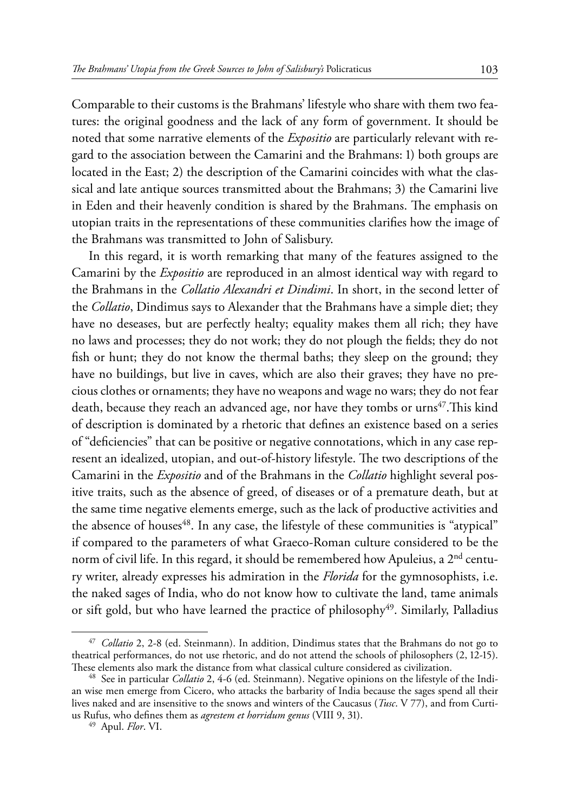Comparable to their customs is the Brahmans' lifestyle who share with them two features: the original goodness and the lack of any form of government. It should be noted that some narrative elements of the *Expositio* are particularly relevant with regard to the association between the Camarini and the Brahmans: 1) both groups are located in the East; 2) the description of the Camarini coincides with what the classical and late antique sources transmitted about the Brahmans; 3) the Camarini live in Eden and their heavenly condition is shared by the Brahmans. The emphasis on utopian traits in the representations of these communities clarifies how the image of the Brahmans was transmitted to John of Salisbury.

In this regard, it is worth remarking that many of the features assigned to the Camarini by the *Expositio* are reproduced in an almost identical way with regard to the Brahmans in the *Collatio Alexandri et Dindimi*. In short, in the second letter of the *Collatio*, Dindimus says to Alexander that the Brahmans have a simple diet; they have no deseases, but are perfectly healty; equality makes them all rich; they have no laws and processes; they do not work; they do not plough the fields; they do not fish or hunt; they do not know the thermal baths; they sleep on the ground; they have no buildings, but live in caves, which are also their graves; they have no precious clothes or ornaments; they have no weapons and wage no wars; they do not fear death, because they reach an advanced age, nor have they tombs or  $\text{urns}^{47}$ . This kind of description is dominated by a rhetoric that defines an existence based on a series of "deficiencies" that can be positive or negative connotations, which in any case represent an idealized, utopian, and out-of-history lifestyle. The two descriptions of the Camarini in the *Expositio* and of the Brahmans in the *Collatio* highlight several positive traits, such as the absence of greed, of diseases or of a premature death, but at the same time negative elements emerge, such as the lack of productive activities and the absence of houses<sup>48</sup>. In any case, the lifestyle of these communities is "atypical" if compared to the parameters of what Graeco-Roman culture considered to be the norm of civil life. In this regard, it should be remembered how Apuleius, a 2<sup>nd</sup> century writer, already expresses his admiration in the *Florida* for the gymnosophists, i.e. the naked sages of India, who do not know how to cultivate the land, tame animals or sift gold, but who have learned the practice of philosophy<sup>49</sup>. Similarly, Palladius

<sup>47</sup> *Collatio* 2, 2-8 (ed. Steinmann). In addition, Dindimus states that the Brahmans do not go to theatrical performances, do not use rhetoric, and do not attend the schools of philosophers (2, 12-15).<br>These elements also mark the distance from what classical culture considered as civilization.

<sup>&</sup>lt;sup>48</sup> See in particular *Collatio* 2, 4-6 (ed. Steinmann). Negative opinions on the lifestyle of the Indian wise men emerge from Cicero, who attacks the barbarity of India because the sages spend all their lives naked and are insensitive to the snows and winters of the Caucasus (*Tusc*. V 77), and from Curtius Rufus, who defines them as *agrestem et horridum genus* (VIII 9, 31). <sup>49</sup> Apul. *Flor*. VI.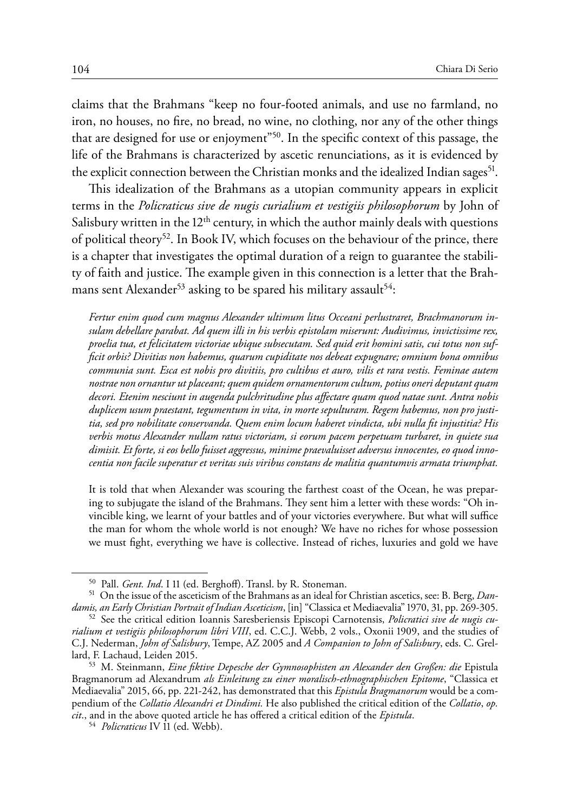claims that the Brahmans "keep no four-footed animals, and use no farmland, no iron, no houses, no fire, no bread, no wine, no clothing, nor any of the other things that are designed for use or enjoyment"50. In the specific context of this passage, the life of the Brahmans is characterized by ascetic renunciations, as it is evidenced by the explicit connection between the Christian monks and the idealized Indian sages<sup>51</sup>.

This idealization of the Brahmans as a utopian community appears in explicit terms in the *Policraticus sive de nugis curialium et vestigiis philosophorum* by John of Salisbury written in the  $12<sup>th</sup>$  century, in which the author mainly deals with questions of political theory<sup>52</sup>. In Book IV, which focuses on the behaviour of the prince, there is a chapter that investigates the optimal duration of a reign to guarantee the stability of faith and justice. The example given in this connection is a letter that the Brahmans sent Alexander<sup>53</sup> asking to be spared his military assault<sup>54</sup>:

*Fertur enim quod cum magnus Alexander ultimum litus Occeani perlustraret, Brachmanorum insulam debellare parabat. Ad quem illi in his verbis epistolam miserunt: Audivimus, invictissime rex, proelia tua, et felicitatem victoriae ubique subsecutam. Sed quid erit homini satis, cui totus non sufficit orbis? Divitias non habemus, quarum cupiditate nos debeat expugnare; omnium bona omnibus communia sunt. Esca est nobis pro divitiis, pro cultibus et auro, vilis et rara vestis. Feminae autem nostrae non ornantur ut placeant; quem quidem ornamentorum cultum, potius oneri deputant quam decori. Etenim nesciunt in augenda pulchritudine plus affectare quam quod natae sunt. Antra nobis duplicem usum praestant, tegumentum in vita, in morte sepulturam. Regem habemus, non pro justitia, sed pro nobilitate conservanda. Quem enim locum haberet vindicta, ubi nulla fit injustitia? His verbis motus Alexander nullam ratus victoriam, si eorum pacem perpetuam turbaret, in quiete sua dimisit. Et forte, si eos bello fuisset aggressus, minime praevaluisset adversus innocentes, eo quod innocentia non facile superatur et veritas suis viribus constans de malitia quantumvis armata triumphat.* 

It is told that when Alexander was scouring the farthest coast of the Ocean, he was preparing to subjugate the island of the Brahmans. They sent him a letter with these words: "Oh invincible king, we learnt of your battles and of your victories everywhere. But what will suffice the man for whom the whole world is not enough? We have no riches for whose possession we must fight, everything we have is collective. Instead of riches, luxuries and gold we have

<sup>&</sup>lt;sup>50</sup> Pall. *Gent. Ind*. I 11 (ed. Berghoff). Transl. by R. Stoneman.<br><sup>51</sup> On the issue of the asceticism of the Brahmans as an ideal for Christian ascetics, see: B. Berg, *Dan-*<br>*damis, an Early Christian Portrait of India* 

<sup>&</sup>lt;sup>52</sup> See the critical edition Ioannis Saresberiensis Episcopi Carnotensis, *Policratici sive de nugis curialium et vestigiis philosophorum libri VIII*, ed. C.C.J. Webb, 2 vols., Oxonii 1909, and the studies of C.J. Nederman, *John of Salisbury*, Tempe, AZ 2005 and *A Companion to John of Salisbury*, eds. C. Grellard, F. Lachaud, Leiden 2015. <sup>53</sup> M. Steinmann, *Eine fiktive Depesche der Gymnosophisten an Alexander den Großen: die* Epistula

Bragmanorum ad Alexandrum *als Einleitung zu einer moralisch-ethnographischen Epitome*, "Classica et Mediaevalia" 2015, 66, pp. 221-242, has demonstrated that this *Epistula Bragmanorum* would be a compendium of the *Collatio Alexandri et Dindimi.* He also published the critical edition of the *Collatio*, *op. cit*., and in the above quoted article he has offered a critical edition of the *Epistula*. <sup>54</sup> *Policraticus* IV 11 (ed. Webb).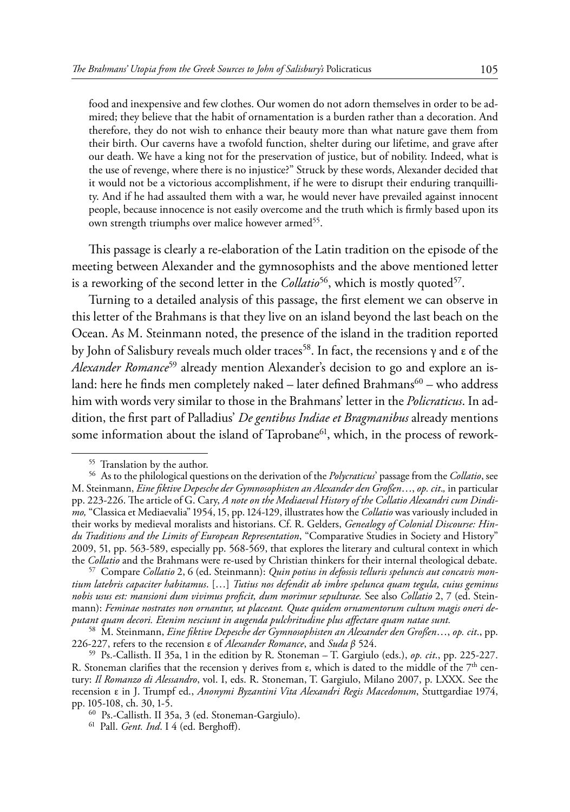food and inexpensive and few clothes. Our women do not adorn themselves in order to be admired; they believe that the habit of ornamentation is a burden rather than a decoration. And therefore, they do not wish to enhance their beauty more than what nature gave them from their birth. Our caverns have a twofold function, shelter during our lifetime, and grave after our death. We have a king not for the preservation of justice, but of nobility. Indeed, what is the use of revenge, where there is no injustice?" Struck by these words, Alexander decided that it would not be a victorious accomplishment, if he were to disrupt their enduring tranquillity. And if he had assaulted them with a war, he would never have prevailed against innocent people, because innocence is not easily overcome and the truth which is firmly based upon its own strength triumphs over malice however armed<sup>55</sup>.

This passage is clearly a re-elaboration of the Latin tradition on the episode of the meeting between Alexander and the gymnosophists and the above mentioned letter is a reworking of the second letter in the *Collatio*<sup>56</sup>, which is mostly quoted<sup>57</sup>.

Turning to a detailed analysis of this passage, the first element we can observe in this letter of the Brahmans is that they live on an island beyond the last beach on the Ocean. As M. Steinmann noted, the presence of the island in the tradition reported by John of Salisbury reveals much older traces<sup>58</sup>. In fact, the recensions  $\gamma$  and  $\varepsilon$  of the *Alexander Romance*<sup>59</sup> already mention Alexander's decision to go and explore an island: here he finds men completely naked – later defined Brahmans<sup>60</sup> – who address him with words very similar to those in the Brahmans' letter in the *Policraticus*. In addition, the first part of Palladius' *De gentibus Indiae et Bragmanibus* already mentions some information about the island of Taprobane<sup>61</sup>, which, in the process of rework-

<sup>55</sup> Translation by the author. <sup>56</sup> As to the philological questions on the derivation of the *Polycraticus*' passage from the *Collatio*, see M. Steinmann, *Eine fiktive Depesche der Gymnosophisten an Alexander den Großen*…, *op. cit*.*,* in particular pp. 223-226. The article of G. Cary, *A note on the Mediaeval History of the Collatio Alexandri cum Dindimo,* "Classica et Mediaevalia" 1954, 15, pp. 124-129, illustrates how the *Collatio* was variously included in their works by medieval moralists and historians. Cf. R. Gelders, *Genealogy of Colonial Discourse: Hindu Traditions and the Limits of European Representation*, "Comparative Studies in Society and History" 2009, 51, pp. 563-589, especially pp. 568-569, that explores the literary and cultural context in which the *Collatio* and the Brahmans were re-used by Christian thinkers for their internal theological debate.

<sup>&</sup>lt;sup>57</sup> Compare Collatio 2, 6 (ed. Steinmann): Quin potius in defossis telluris speluncis aut concavis mon*tium latebris capaciter habitamus*. […] *Tutius nos defendit ab imbre spelunca quam tegula, cuius geminus nobis usus est: mansioni dum vivimus proficit, dum morimur sepulturae.* See also *Collatio* 2, 7 (ed. Steinmann): *Feminae nostrates non ornantur, ut placeant. Quae quidem ornamentorum cultum magis oneri deputant quam decori. Etenim nesciunt in augenda pulchritudine plus affectare quam natae sunt.*

<sup>58</sup> M. Steinmann, *Eine fiktive Depesche der Gymnosophisten an Alexander den Großen*…, *op. cit*., pp.

<sup>&</sup>lt;sup>59</sup> Ps.-Callisth. II 35a, 1 in the edition by R. Stoneman – T. Gargiulo (eds.), *op. cit.*, pp. 225-227. R. Stoneman clarifies that the recension  $\gamma$  derives from  $\varepsilon$ , which is dated to the middle of the 7<sup>th</sup> century: *Il Romanzo di Alessandro*, vol. I, eds. R. Stoneman, T. Gargiulo, Milano 2007, p. LXXX. See the recension ε in J. Trumpf ed., *Anonymi Byzantini Vita Alexandri Regis Macedonum*, Stuttgardiae 1974,

pp. 105-108, ch. 30, 1-5. <sup>60</sup> Ps.-Callisth. II 35a, 3 (ed. Stoneman-Gargiulo). <sup>61</sup> Pall. *Gent. Ind*. I 4 (ed. Berghoff).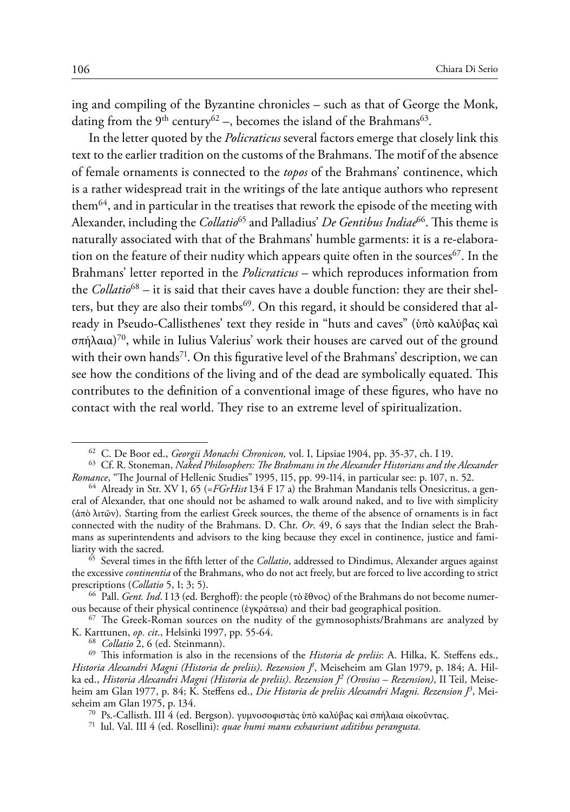ing and compiling of the Byzantine chronicles – such as that of George the Monk, dating from the  $9<sup>th</sup>$  century<sup>62</sup> –, becomes the island of the Brahmans<sup>63</sup>.

In the letter quoted by the *Policraticus* several factors emerge that closely link this text to the earlier tradition on the customs of the Brahmans. The motif of the absence of female ornaments is connected to the *topos* of the Brahmans' continence, which is a rather widespread trait in the writings of the late antique authors who represent them<sup>64</sup>, and in particular in the treatises that rework the episode of the meeting with Alexander, including the *Collatio*<sup>65</sup> and Palladius' *De Gentibus Indiae*<sup>66</sup>. This theme is naturally associated with that of the Brahmans' humble garments: it is a re-elaboration on the feature of their nudity which appears quite often in the sources  $\epsilon$ . In the Brahmans' letter reported in the *Policraticus* – which reproduces information from the *Collatio*68 – it is said that their caves have a double function: they are their shelters, but they are also their tombs<sup>69</sup>. On this regard, it should be considered that already in Pseudo-Callisthenes' text they reside in "huts and caves" (ὑπὸ καλύβας καὶ σπήλαια) 70, while in Iulius Valerius' work their houses are carved out of the ground with their own hands<sup>71</sup>. On this figurative level of the Brahmans' description, we can see how the conditions of the living and of the dead are symbolically equated. This contributes to the definition of a conventional image of these figures, who have no contact with the real world. They rise to an extreme level of spiritualization.

<sup>&</sup>lt;sup>62</sup> C. De Boor ed., *Georgii Monachi Chronicon*, vol. I, Lipsiae 1904, pp. 35-37, ch. I 19.<br><sup>63</sup> Cf. R. Stoneman, *Naked Philosophers: The Brahmans in the Alexander Historians and the Alexander<br><i>Romance*, "The Journal of

<sup>&</sup>lt;sup>64</sup> Already in Str. XV 1, 65 (=*FGrHist* 134 F 17 a) the Brahman Mandanis tells Onesicritus, a general of Alexander, that one should not be ashamed to walk around naked, and to live with simplicity (ἀπὸ λιτῶν). Starting from the earliest Greek sources, the theme of the absence of ornaments is in fact connected with the nudity of the Brahmans. D. Chr. *Or*. 49, 6 says that the Indian select the Brahmans as superintendents and advisors to the king because they excel in continence, justice and familiarity with the sacred. <sup>65</sup> Several times in the fifth letter of the *Collatio*, addressed to Dindimus, Alexander argues against

the excessive *continentia* of the Brahmans, who do not act freely, but are forced to live according to strict prescriptions (*Collatio* 5, 1; 3; 5).

prescriptions (*Collatio* 5, 1; 3; 5). <sup>66</sup> Pall. *Gent. Ind*. I 13 (ed. Berghoff): the people (τὸ ἔθνος) of the Brahmans do not become numerous because of their physical continence (ἐγκράτεια) and their bad geographical position. <sup>67</sup> The Greek-Roman sources on the nudity of the gymnosophists/Brahmans are analyzed by

K. Karttunen, *op. cit*., Helsinki 1997, pp. 55-64.<br><sup>68</sup> *Collatio* 2, 6 (ed. Steinmann).<br><sup>69</sup> This information is also in the recensions of the *Historia de preliis*: A. Hilka, K. Steffens eds.,

*Historia Alexandri Magni (Historia de preliis)*. *Rezension J1* , Meiseheim am Glan 1979, p. 184; A. Hilka ed., *Historia Alexandri Magni (Historia de preliis)*. *Rezension J2 (Orosius – Rezension)*, II Teil, Meiseheim am Glan 1977, p. 84; K. Steffens ed., *Die Historia de preliis Alexandri Magni. Rezension J3* , Meiseheim am Glan 1975, p. 134. <sup>70</sup> Ps.-Callisth. III 4 (ed. Bergson). γυμνοσοφιστὰς ὑπὸ καλύβας καὶ σπήλαια οἰκοῦντας. <sup>71</sup> Iul. Val. III 4 (ed. Rosellini): *quae humi manu exhauriunt aditibus perangusta.*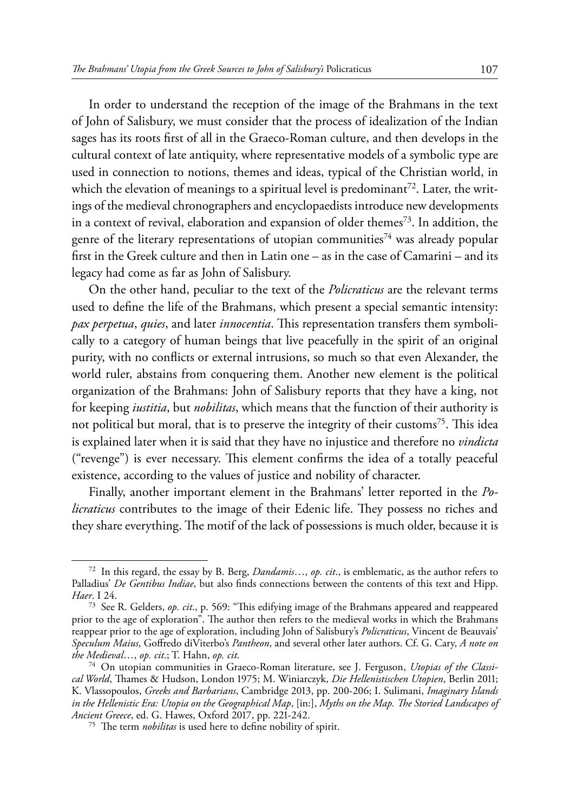In order to understand the reception of the image of the Brahmans in the text of John of Salisbury, we must consider that the process of idealization of the Indian sages has its roots first of all in the Graeco-Roman culture, and then develops in the cultural context of late antiquity, where representative models of a symbolic type are used in connection to notions, themes and ideas, typical of the Christian world, in which the elevation of meanings to a spiritual level is predominant<sup>72</sup>. Later, the writings of the medieval chronographers and encyclopaedists introduce new developments in a context of revival, elaboration and expansion of older themes<sup>73</sup>. In addition, the genre of the literary representations of utopian communities<sup>74</sup> was already popular first in the Greek culture and then in Latin one – as in the case of Camarini – and its legacy had come as far as John of Salisbury.

On the other hand, peculiar to the text of the *Policraticus* are the relevant terms used to define the life of the Brahmans, which present a special semantic intensity: *pax perpetua*, *quies*, and later *innocentia*. This representation transfers them symbolically to a category of human beings that live peacefully in the spirit of an original purity, with no conflicts or external intrusions, so much so that even Alexander, the world ruler, abstains from conquering them. Another new element is the political organization of the Brahmans: John of Salisbury reports that they have a king, not for keeping *iustitia*, but *nobilitas*, which means that the function of their authority is not political but moral, that is to preserve the integrity of their customs<sup>75</sup>. This idea is explained later when it is said that they have no injustice and therefore no *vindicta* ("revenge") is ever necessary. This element confirms the idea of a totally peaceful existence, according to the values of justice and nobility of character.

Finally, another important element in the Brahmans' letter reported in the *Policraticus* contributes to the image of their Edenic life. They possess no riches and they share everything. The motif of the lack of possessions is much older, because it is

<sup>72</sup> In this regard, the essay by B. Berg, *Dandamis*…, *op. cit*., is emblematic, as the author refers to Palladius' *De Gentibus Indiae*, but also finds connections between the contents of this text and Hipp. *Haer*. I 24.

<sup>73</sup> See R. Gelders, *op. cit*., p. 569: "This edifying image of the Brahmans appeared and reappeared prior to the age of exploration". The author then refers to the medieval works in which the Brahmans reappear prior to the age of exploration, including John of Salisbury's *Policraticus*, Vincent de Beauvais' *Speculum Maius*, Goffredo diViterbo's *Pantheon*, and several other later authors. Cf. G. Cary, *A note on* 

<sup>&</sup>lt;sup>74</sup> On utopian communities in Graeco-Roman literature, see J. Ferguson, *Utopias of the Classical World*, Thames & Hudson, London 1975; M. Winiarczyk, *Die Hellenistischen Utopien*, Berlin 2011; K. Vlassopoulos, *Greeks and Barbarians*, Cambridge 2013, pp. 200-206; I. Sulimani, *Imaginary Islands in the Hellenistic Era: Utopia on the Geographical Map*, [in:], *Myths on the Map. The Storied Landscapes of* 

<sup>&</sup>lt;sup>75</sup> The term *nobilitas* is used here to define nobility of spirit.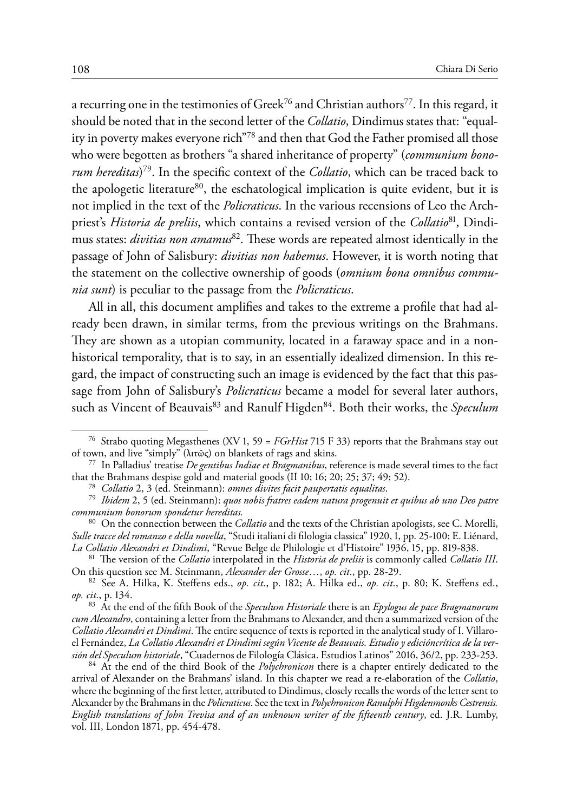a recurring one in the testimonies of Greek<sup>76</sup> and Christian authors<sup>77</sup>. In this regard, it should be noted that in the second letter of the *Collatio*, Dindimus states that: "equality in poverty makes everyone rich"78 and then that God the Father promised all those who were begotten as brothers "a shared inheritance of property" (*communium bonorum hereditas*) 79. In the specific context of the *Collatio*, which can be traced back to the apologetic literature<sup>80</sup>, the eschatological implication is quite evident, but it is not implied in the text of the *Policraticus*. In the various recensions of Leo the Archpriest's *Historia de preliis*, which contains a revised version of the *Collatio*81, Dindimus states: *divitias non amamus*82. These words are repeated almost identically in the passage of John of Salisbury: *divitias non habemus*. However, it is worth noting that the statement on the collective ownership of goods (*omnium bona omnibus communia sunt*) is peculiar to the passage from the *Policraticus*.

All in all, this document amplifies and takes to the extreme a profile that had already been drawn, in similar terms, from the previous writings on the Brahmans. They are shown as a utopian community, located in a faraway space and in a nonhistorical temporality, that is to say, in an essentially idealized dimension. In this regard, the impact of constructing such an image is evidenced by the fact that this passage from John of Salisbury's *Policraticus* became a model for several later authors, such as Vincent of Beauvais<sup>83</sup> and Ranulf Higden<sup>84</sup>. Both their works, the *Speculum* 

<sup>&</sup>lt;sup>76</sup> Strabo quoting Megasthenes (XV 1, 59 = *FGrHist* 715 F 33) reports that the Brahmans stay out of town, and live "simply" ( $\lambda$ rr $\tilde{\omega}$ c) on blankets of rags and skins.

<sup>&</sup>lt;sup>77</sup> In Palladius' treatise *De gentibus Indiae et Bragmanibus*, reference is made several times to the fact that the Brahmans despise gold and material goods (II 10; 16; 20; 25; 37; 49; 52).

<sup>&</sup>lt;sup>78</sup> Collatio 2, 3 (ed. Steinmann): omnes divites facit paupertatis equalitas.<br><sup>79</sup> Ibidem 2, 5 (ed. Steinmann): quos nobis fratres eadem natura progenuit et quibus ab uno Deo patre *communium bonorum spondetur hereditas.*

<sup>80</sup> On the connection between the *Collatio* and the texts of the Christian apologists, see C. Morelli, *Sulle tracce del romanzo e della novella*, "Studi italiani di filologia classica" 1920, 1, pp. 25-100; E. Liénard,

<sup>&</sup>lt;sup>81</sup> The version of the *Collatio* interpolated in the *Historia de preliis* is commonly called *Collatio III*.<br>On this question see M. Steinmann, *Alexander der Grosse...*, *op. cit.*, pp. 28-29.

On this question see M. Steinmann, *Alexander der Grosse*…, *op. cit*., pp. 28-29. <sup>82</sup> See A. Hilka, K. Steffens eds., *op. cit*., p. 182; A. Hilka ed., *op. cit*., p. 80; K. Steffens ed., *op. cit*., p. 134.

<sup>83</sup> At the end of the fifth Book of the *Speculum Historiale* there is an *Epylogus de pace Bragmanorum cum Alexandro*, containing a letter from the Brahmans to Alexander, and then a summarized version of the *Collatio Alexandri et Dindimi*. The entire sequence of texts is reported in the analytical study of I. Villaroel Fernández, *La Collatio Alexandri et Dindimi según Vicente de Beauvais. Estudio y edicióncrítica de la versión del Speculum historiale*, "Cuadernos de Filología Clásica. Estudios Latinos" 2016, 36/2, pp. 233-253. <sup>84</sup> At the end of the third Book of the *Polychronicon* there is a chapter entirely dedicated to the

arrival of Alexander on the Brahmans' island. In this chapter we read a re-elaboration of the *Collatio*, where the beginning of the first letter, attributed to Dindimus, closely recalls the words of the letter sent to Alexander by the Brahmans in the *Policraticus*. See the text in *Polychronicon Ranulphi Higdenmonks Cestrensis. English translations of John Trevisa and of an unknown writer of the fifteenth century*, ed. J.R. Lumby, vol. III, London 1871, pp. 454-478.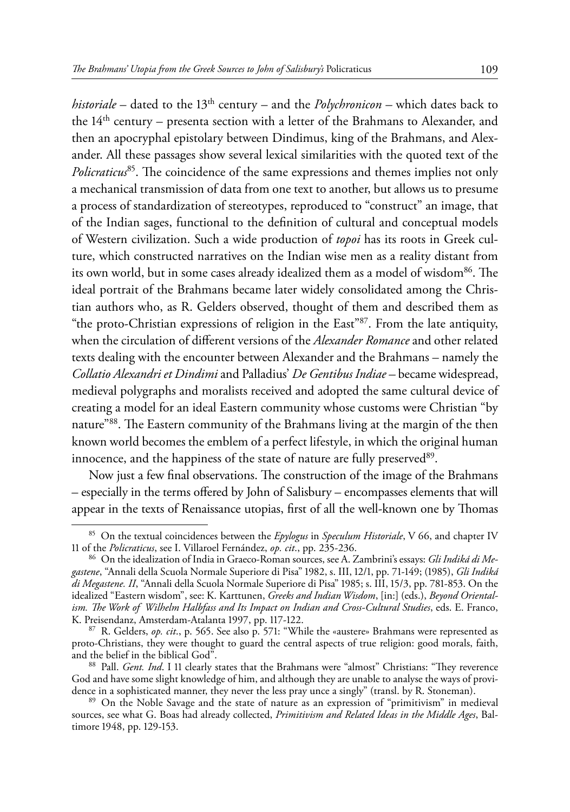*historiale* – dated to the 13th century – and the *Polychronicon –* which dates back to the  $14<sup>th</sup>$  century – presenta section with a letter of the Brahmans to Alexander, and then an apocryphal epistolary between Dindimus, king of the Brahmans, and Alexander. All these passages show several lexical similarities with the quoted text of the *Policraticus*85. The coincidence of the same expressions and themes implies not only a mechanical transmission of data from one text to another, but allows us to presume a process of standardization of stereotypes, reproduced to "construct" an image, that of the Indian sages, functional to the definition of cultural and conceptual models of Western civilization. Such a wide production of *topoi* has its roots in Greek culture, which constructed narratives on the Indian wise men as a reality distant from its own world, but in some cases already idealized them as a model of wisdom<sup>86</sup>. The ideal portrait of the Brahmans became later widely consolidated among the Christian authors who, as R. Gelders observed, thought of them and described them as "the proto-Christian expressions of religion in the East"87. From the late antiquity, when the circulation of different versions of the *Alexander Romance* and other related texts dealing with the encounter between Alexander and the Brahmans – namely the *Collatio Alexandri et Dindimi* and Palladius' *De Gentibus Indiae –* became widespread, medieval polygraphs and moralists received and adopted the same cultural device of creating a model for an ideal Eastern community whose customs were Christian "by nature"88. The Eastern community of the Brahmans living at the margin of the then known world becomes the emblem of a perfect lifestyle, in which the original human innocence, and the happiness of the state of nature are fully preserved<sup>89</sup>.

Now just a few final observations. The construction of the image of the Brahmans – especially in the terms offered by John of Salisbury – encompasses elements that will appear in the texts of Renaissance utopias, first of all the well-known one by Thomas

<sup>&</sup>lt;sup>85</sup> On the textual coincidences between the *Epylogus* in *Speculum Historiale*, V 66, and chapter IV 11 of the *Policraticus*, see I. Villaroel Fernández, *op. cit.*, pp. 235-236.

<sup>&</sup>lt;sup>86</sup> On the idealization of India in Graeco-Roman sources, see A. Zambrini's essays: *Gli Indiká di Megastene*, "Annali della Scuola Normale Superiore di Pisa" 1982, s. III, 12/1, pp. 71-149; (1985), *Gli Indiká di Megastene. II*, "Annali della Scuola Normale Superiore di Pisa" 1985; s. III, 15/3, pp. 781-853. On the idealized "Eastern wisdom", see: K. Karttunen, *Greeks and Indian Wisdom*, [in:] (eds.), *Beyond Orientalism. The Work of Wilhelm Halbfass and Its Impact on Indian and Cross-Cultural Studies*, eds. E. Franco, K. Preisendanz, Amsterdam-Atalanta 1997, pp. 117-122. <sup>87</sup> R. Gelders, *op. cit*., p. 565. See also p. 571: "While the «austere» Brahmans were represented as

proto-Christians, they were thought to guard the central aspects of true religion: good morals, faith,

<sup>&</sup>lt;sup>88</sup> Pall. *Gent. Ind*. I 11 clearly states that the Brahmans were "almost" Christians: "They reverence God and have some slight knowledge of him, and although they are unable to analyse the ways of provi-

dence in a sophisticated manner, they never the less pray unce a singly" (transl. by R. Stoneman). <sup>89</sup> On the Noble Savage and the state of nature as an expression of "primitivism" in medieval sources, see what G. Boas had already collected, *Primitivism and Related Ideas in the Middle Ages*, Baltimore 1948, pp. 129-153.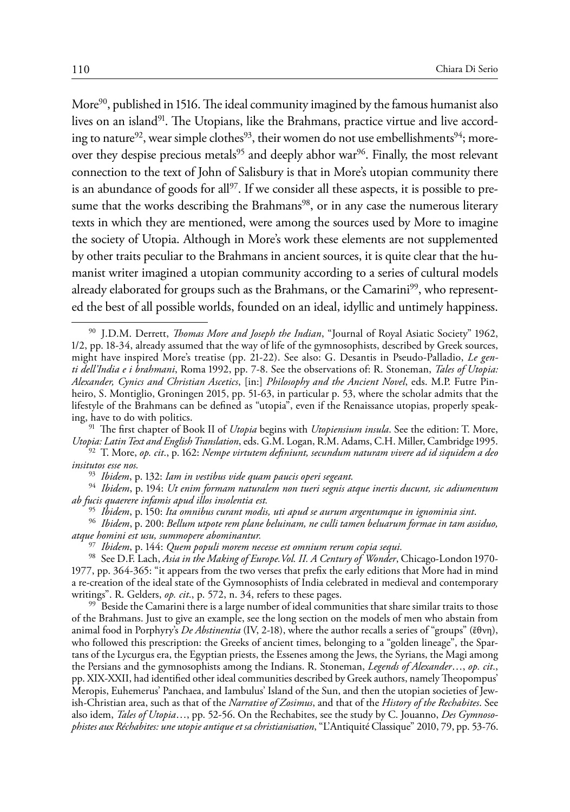More<sup>90</sup>, published in 1516. The ideal community imagined by the famous humanist also lives on an island<sup>91</sup>. The Utopians, like the Brahmans, practice virtue and live according to nature<sup>92</sup>, wear simple clothes<sup>93</sup>, their women do not use embellishments<sup>94</sup>; moreover they despise precious metals<sup>95</sup> and deeply abhor war<sup>96</sup>. Finally, the most relevant connection to the text of John of Salisbury is that in More's utopian community there is an abundance of goods for all<sup>97</sup>. If we consider all these aspects, it is possible to presume that the works describing the Brahmans<sup>98</sup>, or in any case the numerous literary texts in which they are mentioned, were among the sources used by More to imagine the society of Utopia. Although in More's work these elements are not supplemented by other traits peculiar to the Brahmans in ancient sources, it is quite clear that the humanist writer imagined a utopian community according to a series of cultural models already elaborated for groups such as the Brahmans, or the Camarini99, who represented the best of all possible worlds, founded on an ideal, idyllic and untimely happiness.

<sup>91</sup> The first chapter of Book II of *Utopia* begins with *Utopiensium insula*. See the edition: T. More, *Utopia: Latin Text and English Translation*, eds. G.M. Logan, R.M. Adams, C.H. Miller, Cambridge 1995.

<sup>93</sup> *Ibidem*, p. 132: *Iam in vestibus vide quam paucis operi segeant.* <sup>94</sup> *Ibidem*, p. 194: *Ut enim formam naturalem non tueri segnis atque inertis ducunt, sic adiumentum ab fucis quaerere infamis apud illos insolentia est.*

<sup>95</sup> *Ibidem*, p. 150: *Ita omnibus curant modis, uti apud se aurum argentumque in ignominia sint*. <sup>96</sup> *Ibidem*, p. 200: *Bellum utpote rem plane beluinam, ne culli tamen beluarum formae in tam assiduo, atque homini est usu, summopere abominantur.*

<sup>98</sup> See D.F. Lach, Asia in the Making of Europe. Vol. II. A Century of Wonder, Chicago-London 1970-1977, pp. 364-365: "it appears from the two verses that prefix the early editions that More had in mind a re-creation of the ideal state of the Gymnosophists of India celebrated in medieval and contemporary writings". R. Gelders,  $op. cit., p. 572, n. 34$ , refers to these pages.

<sup>99</sup> Beside the Camarini there is a large number of ideal communities that share similar traits to those of the Brahmans. Just to give an example, see the long section on the models of men who abstain from animal food in Porphyry's *De Abstinentia* (IV, 2-18), where the author recalls a series of "groups" (ἔθνη), who followed this prescription: the Greeks of ancient times, belonging to a "golden lineage", the Spartans of the Lycurgus era, the Egyptian priests, the Essenes among the Jews, the Syrians, the Magi among the Persians and the gymnosophists among the Indians. R. Stoneman, *Legends of Alexander*…, *op. cit*., pp. XIX-XXII, had identified other ideal communities described by Greek authors, namely Theopompus' Meropis, Euhemerus' Panchaea, and Iambulus' Island of the Sun, and then the utopian societies of Jewish-Christian area, such as that of the *Narrative of Zosimus*, and that of the *History of the Rechabites*. See also idem, *Tales of Utopia*…, pp. 52-56. On the Rechabites, see the study by C. Jouanno, *Des Gymnosophistes aux Réchabites: une utopie antique et sa christianisation*, "L'Antiquité Classique" 2010, 79, pp. 53-76.

<sup>90</sup> J.D.M. Derrett, *Thomas More and Joseph the Indian*, "Journal of Royal Asiatic Society" 1962, 1/2, pp. 18-34, already assumed that the way of life of the gymnosophists, described by Greek sources, might have inspired More's treatise (pp. 21-22). See also: G. Desantis in Pseudo-Palladio, *Le genti dell'India e i brahmani*, Roma 1992, pp. 7-8. See the observations of: R. Stoneman, *Tales of Utopia: Alexander, Cynics and Christian Ascetics*, [in:] *Philosophy and the Ancient Novel*, eds. M.P. Futre Pinheiro, S. Montiglio, Groningen 2015, pp. 51-63, in particular p. 53, where the scholar admits that the lifestyle of the Brahmans can be defined as "utopia", even if the Renaissance utopias, properly speak-<br>ing, have to do with politics.

*Utopia: Latin Text and English Translation*, eds. G.M. Logan, R.M. Adams, C.H. Miller, Cambridge 1995. <sup>92</sup> T. More, *op. cit*., p. 162: *Nempe virtutem definiunt, secundum naturam vivere ad id siquidem a deo insitutos esse nos.*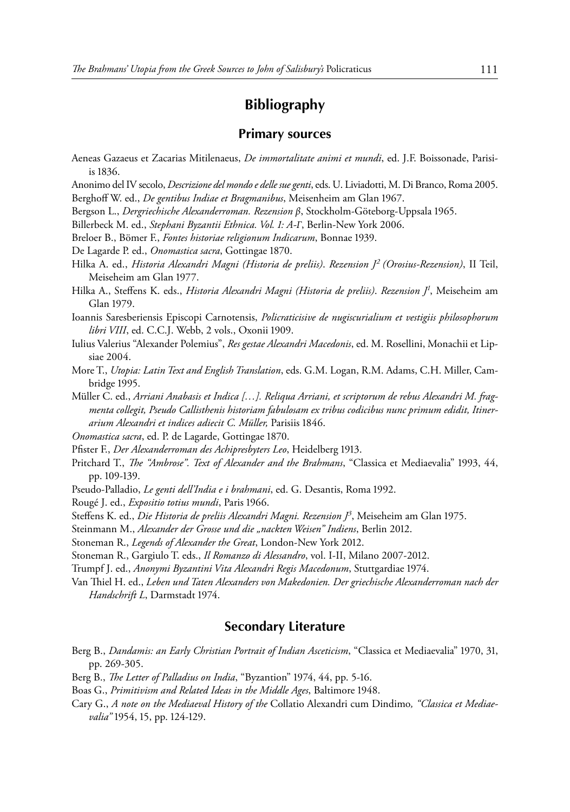## **Bibliography**

### **Primary sources**

- Aeneas Gazaeus et Zacarias Mitilenaeus, *De immortalitate animi et mundi*, ed. J.F. Boissonade, Parisiis 1836.
- Anonimo del IV secolo, *Descrizione del mondo e delle sue genti*, eds. U. Liviadotti, M. Di Branco, Roma 2005. Berghoff W. ed., *De gentibus Indiae et Bragmanibus*, Meisenheim am Glan 1967.
- Bergson L., *Dergriechische Alexanderroman. Rezension β*, Stockholm-Göteborg-Uppsala 1965.
- Billerbeck M. ed., *Stephani Byzantii Ethnica. Vol. 1: A-Γ*, Berlin-New York 2006.
- Breloer B., Bömer F., *Fontes historiae religionum Indicarum*, Bonnae 1939.

De Lagarde P. ed., *Onomastica sacra*, Gottingae 1870.

Hilka A. ed., *Historia Alexandri Magni (Historia de preliis)*. *Rezension J2 (Orosius-Rezension)*, II Teil, Meiseheim am Glan 1977.

Hilka A., Steffens K. eds., *Historia Alexandri Magni (Historia de preliis)*. *Rezension J1* , Meiseheim am Glan 1979.

- Ioannis Saresberiensis Episcopi Carnotensis, *Policraticisive de nugiscurialium et vestigiis philosophorum libri VIII*, ed. C.C.J. Webb, 2 vols., Oxonii 1909.
- Iulius Valerius "Alexander Polemius", *Res gestae Alexandri Macedonis*, ed. M. Rosellini, Monachii et Lipsiae 2004.
- More T., *Utopia: Latin Text and English Translation*, eds. G.M. Logan, R.M. Adams, C.H. Miller, Cambridge 1995.
- Müller C. ed., *Arriani Anabasis et Indica […]. Reliqua Arriani, et scriptorum de rebus Alexandri M. fragmenta collegit, Pseudo Callisthenis historiam fabulosam ex tribus codicibus nunc primum edidit, Itinerarium Alexandri et indices adiecit C. Müller,* Parisiis 1846.
- *Onomastica sacra*, ed. P. de Lagarde, Gottingae 1870.
- Pfister F., *Der Alexanderroman des Achipresbyters Leo*, Heidelberg 1913.
- Pritchard T., *The "Ambrose". Text of Alexander and the Brahmans*, "Classica et Mediaevalia" 1993, 44, pp. 109-139.
- Pseudo-Palladio, *Le genti dell'India e i brahmani*, ed. G. Desantis, Roma 1992.
- Rougé J. ed., *Expositio totius mundi*, Paris 1966.

Steffens K. ed., *Die Historia de preliis Alexandri Magni. Rezension J3* , Meiseheim am Glan 1975.

Steinmann M., *Alexander der Grosse und die "nackten Weisen" Indiens*, Berlin 2012.

- Stoneman R., *Legends of Alexander the Great*, London-New York 2012.
- Stoneman R., Gargiulo T. eds., *Il Romanzo di Alessandro*, vol. I-II, Milano 2007-2012.

Trumpf J. ed., *Anonymi Byzantini Vita Alexandri Regis Macedonum*, Stuttgardiae 1974.

Van Thiel H. ed., *Leben und Taten Alexanders von Makedonien. Der griechische Alexanderroman nach der Handschrift L*, Darmstadt 1974.

### **Secondary Literature**

- Berg B., *Dandamis: an Early Christian Portrait of Indian Asceticism*, "Classica et Mediaevalia" 1970, 31, pp. 269-305.
- Berg B., *The Letter of Palladius on India*, "Byzantion" 1974, 44, pp. 5-16.
- Boas G., *Primitivism and Related Ideas in the Middle Ages*, Baltimore 1948.
- Cary G., *A note on the Mediaeval History of the* Collatio Alexandri cum Dindimo*, "Classica et Mediaevalia"* 1954, 15, pp. 124-129.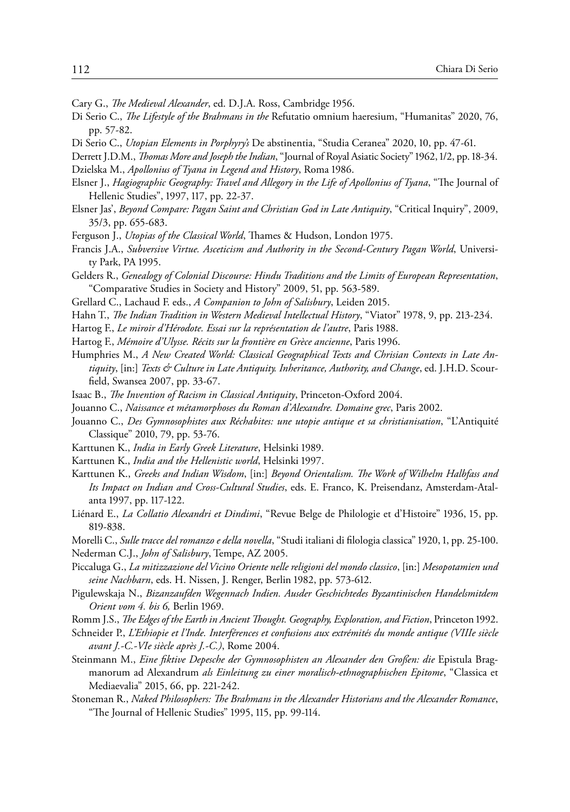- Cary G., *The Medieval Alexander*, ed. D.J.A. Ross, Cambridge 1956.
- Di Serio C., *The Lifestyle of the Brahmans in the* Refutatio omnium haeresium, "Humanitas" 2020, 76, pp. 57-82.
- Di Serio C., *Utopian Elements in Porphyry's* De abstinentia, "Studia Ceranea" 2020, 10, pp. 47-61.
- Derrett J.D.M., *Thomas More and Joseph the Indian*, "Journal of Royal Asiatic Society" 1962, 1/2, pp. 18-34.
- Dzielska M., *Apollonius of Tyana in Legend and History*, Roma 1986.
- Elsner J., *Hagiographic Geography: Travel and Allegory in the Life of Apollonius of Tyana*, "The Journal of Hellenic Studies", 1997, 117, pp. 22-37.
- Elsner Jas', *Beyond Compare: Pagan Saint and Christian God in Late Antiquity*, "Critical Inquiry", 2009, 35/3, pp. 655-683.
- Ferguson J., *Utopias of the Classical World*, Thames & Hudson, London 1975.
- Francis J.A., *Subversive Virtue. Asceticism and Authority in the Second-Century Pagan World*, University Park, PA 1995.
- Gelders R., *Genealogy of Colonial Discourse: Hindu Traditions and the Limits of European Representation*, "Comparative Studies in Society and History" 2009, 51, pp. 563-589.
- Grellard C., Lachaud F. eds., *A Companion to John of Salisbury*, Leiden 2015.
- Hahn T., *The Indian Tradition in Western Medieval Intellectual History*, "Viator" 1978, 9, pp. 213-234.
- Hartog F., *Le miroir d'Hérodote. Essai sur la représentation de l'autre*, Paris 1988.
- Hartog F., *Mémoire d'Ulysse. Récits sur la frontière en Grèce ancienne*, Paris 1996.
- Humphries M., *A New Created World: Classical Geographical Texts and Chrisian Contexts in Late Antiquity*, [in:] *Texts & Culture in Late Antiquity. Inheritance, Authority, and Change*, ed. J.H.D. Scourfield, Swansea 2007, pp. 33-67.
- Isaac B., *The Invention of Racism in Classical Antiquity*, Princeton-Oxford 2004.
- Jouanno C., *Naissance et métamorphoses du Roman d'Alexandre. Domaine grec*, Paris 2002.
- Jouanno C., *Des Gymnosophistes aux Réchabites: une utopie antique et sa christianisation*, "L'Antiquité Classique" 2010, 79, pp. 53-76.
- Karttunen K., *India in Early Greek Literature*, Helsinki 1989.
- Karttunen K., *India and the Hellenistic world*, Helsinki 1997.
- Karttunen K., *Greeks and Indian Wisdom*, [in:] *Beyond Orientalism. The Work of Wilhelm Halbfass and Its Impact on Indian and Cross-Cultural Studies*, eds. E. Franco, K. Preisendanz, Amsterdam-Atalanta 1997, pp. 117-122.
- Liénard E., *La Collatio Alexandri et Dindimi*, "Revue Belge de Philologie et d'Histoire" 1936, 15, pp. 819-838.
- Morelli C., *Sulle tracce del romanzo e della novella*, "Studi italiani di filologia classica" 1920, 1, pp. 25-100. Nederman C.J., *John of Salisbury*, Tempe, AZ 2005.
- Piccaluga G., *La mitizzazione del Vicino Oriente nelle religioni del mondo classico*, [in:] *Mesopotamien und seine Nachbarn*, eds. H. Nissen, J. Renger, Berlin 1982, pp. 573-612.
- Pigulewskaja N., *Bizanzaufden Wegennach Indien. Ausder Geschichtedes Byzantinischen Handelsmitdem Orient vom 4. bis 6,* Berlin 1969.
- Romm J.S., *The Edges of the Earth in Ancient Thought. Geography, Exploration, and Fiction*, Princeton 1992.
- Schneider P., *L'Ethiopie et l'Inde. Interférences et confusions aux extrémités du monde antique (VIIIe siècle avant J.-C.-VIe siècle après J.-C.)*, Rome 2004.
- Steinmann M., *Eine fiktive Depesche der Gymnosophisten an Alexander den Großen: die* Epistula Bragmanorum ad Alexandrum *als Einleitung zu einer moralisch-ethnographischen Epitome*, "Classica et Mediaevalia" 2015, 66, pp. 221-242.
- Stoneman R., *Naked Philosophers: The Brahmans in the Alexander Historians and the Alexander Romance*, "The Journal of Hellenic Studies" 1995, 115, pp. 99-114.